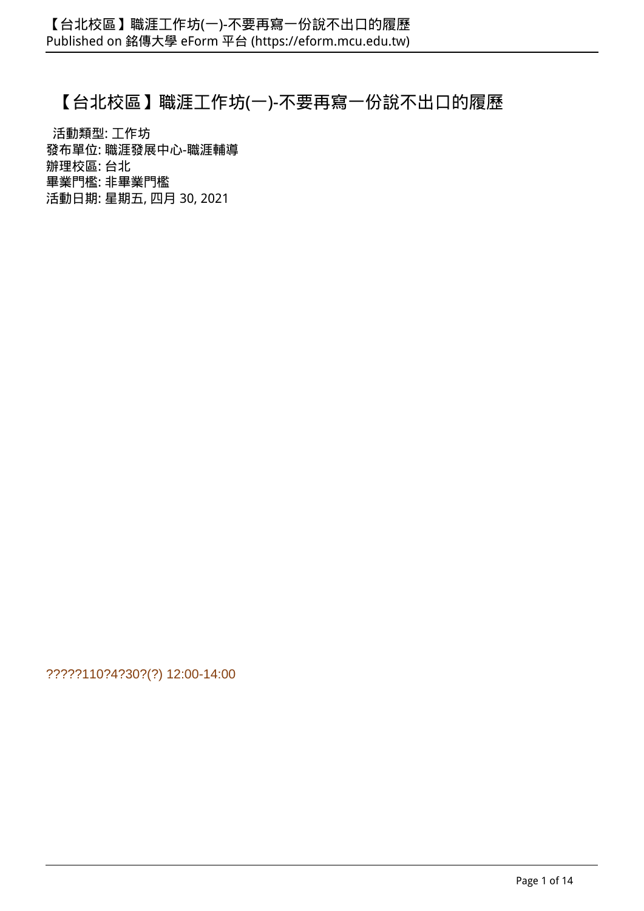# **【台北校區】職涯工作坊(一)-不要再寫一份說不出口的履歷**

 **活動類型:** 工作坊 **發布單位:** 職涯發展中心-職涯輔導 **辦理校區:** 台北 **畢業門檻:** 非畢業門檻 **活動日期:** 星期五, 四月 30, 2021

?????110?4?30?(?) 12:00-14:00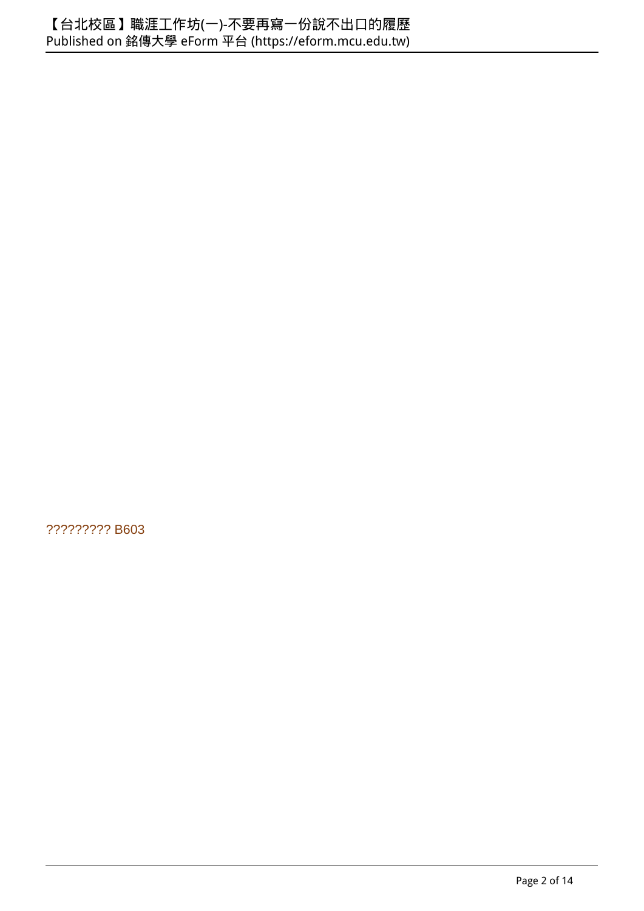????????? B603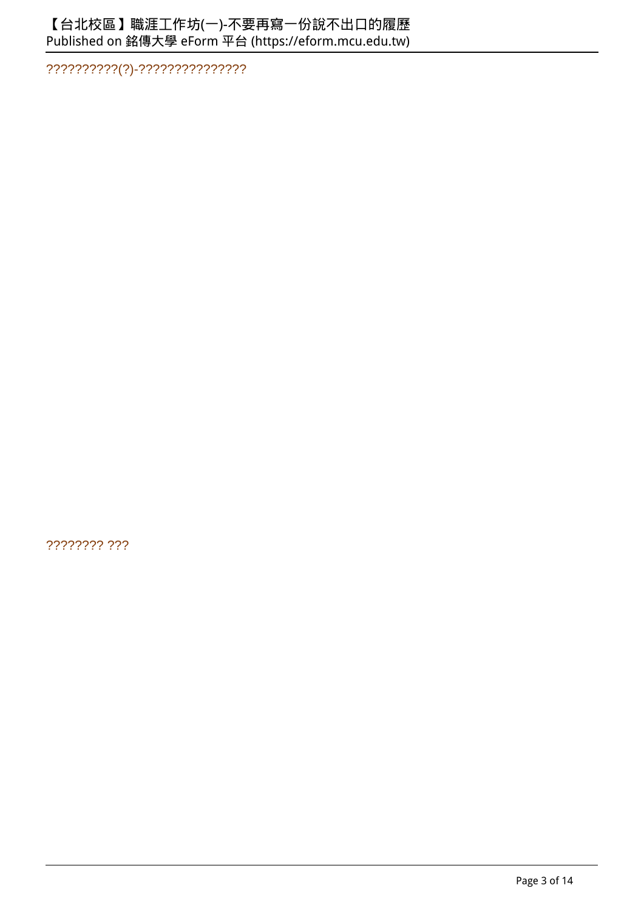??????????(?)-???????????????

???????? ???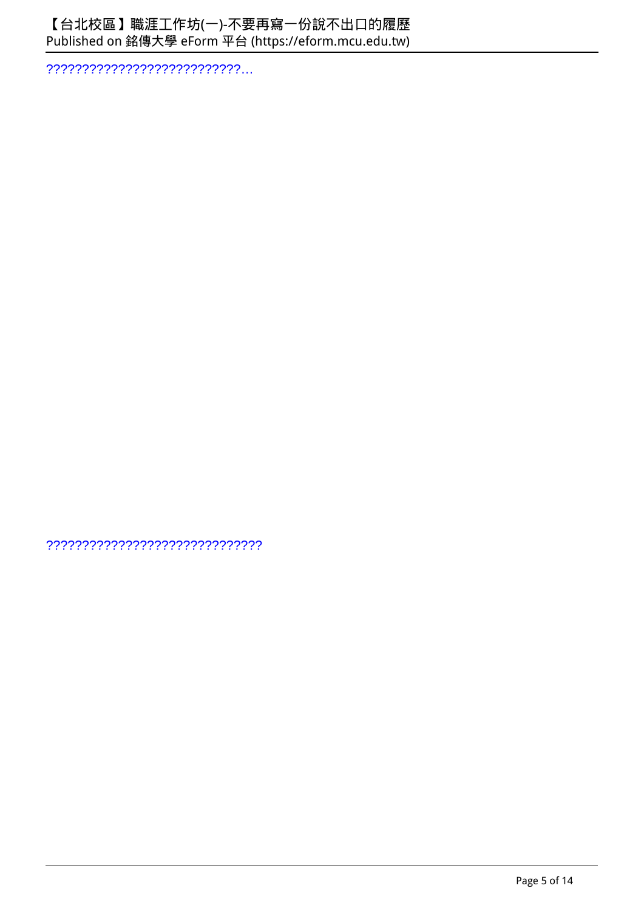???????????????????????????…

??????????????????????????????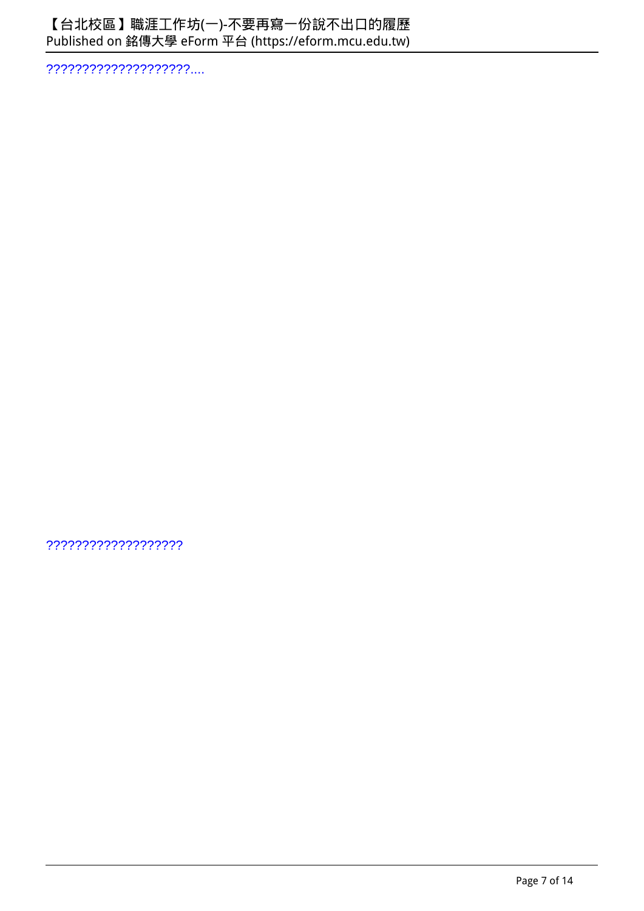????????????????????....

???????????????????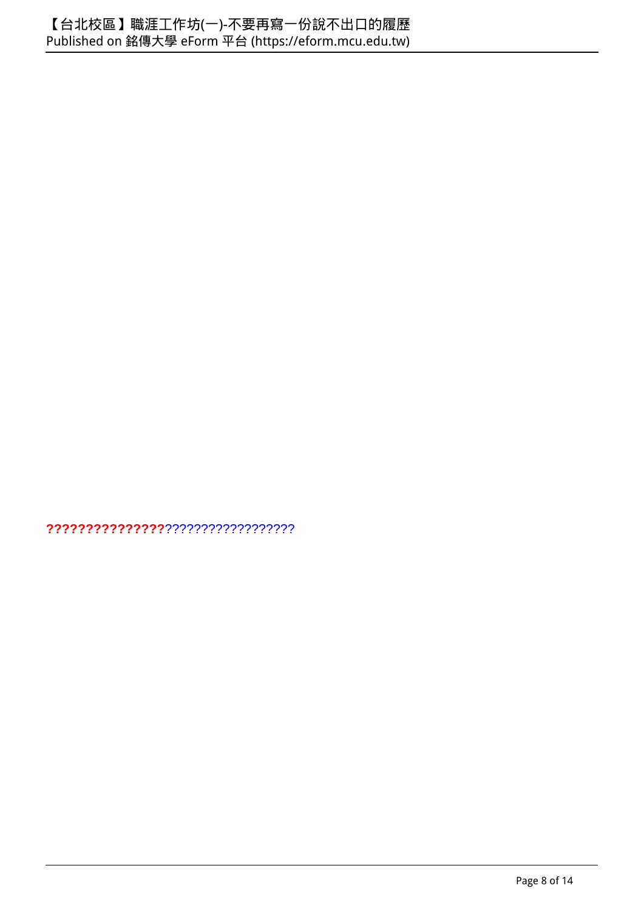**???????????????**??????????????????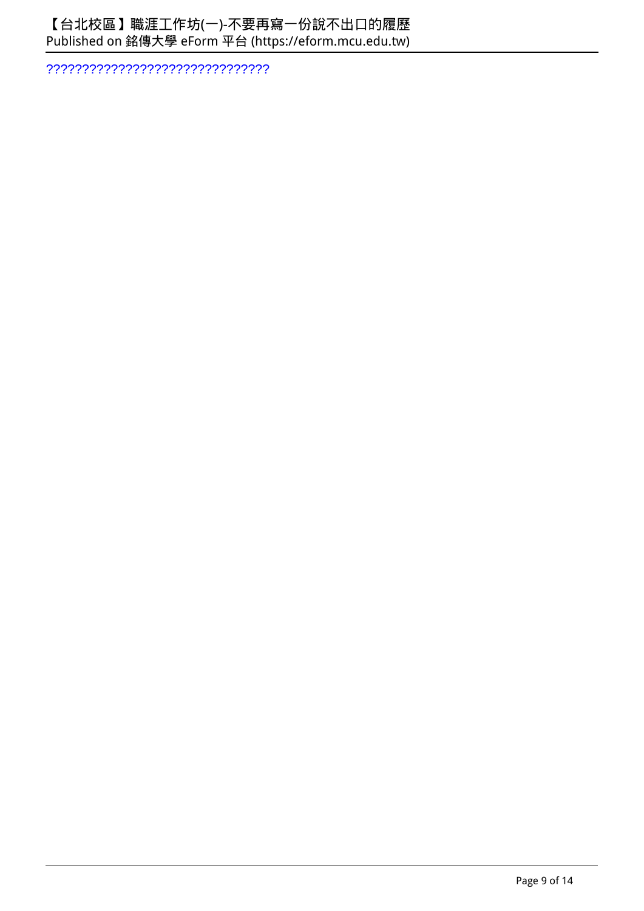???????????????????????????????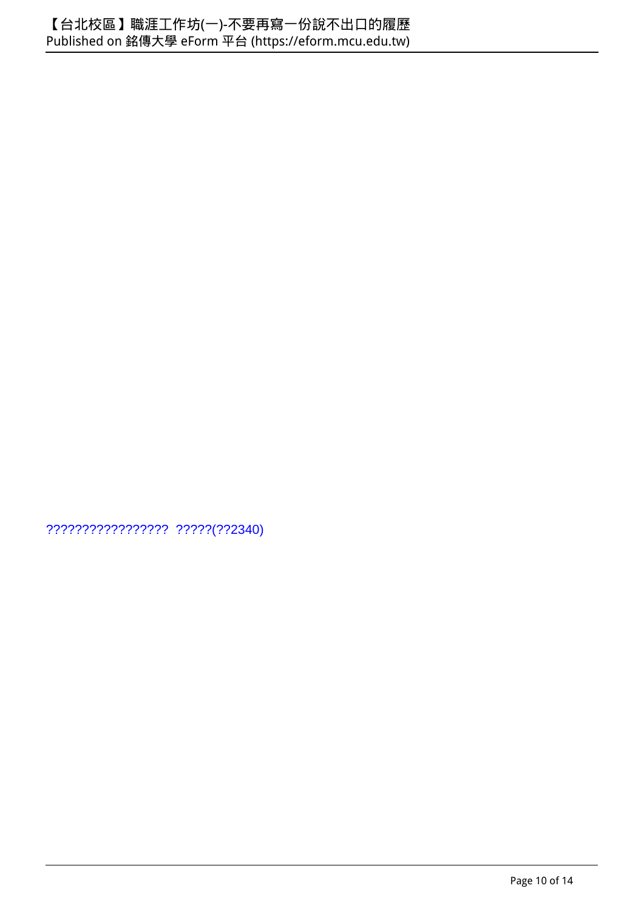????????????????? ?????(??2340)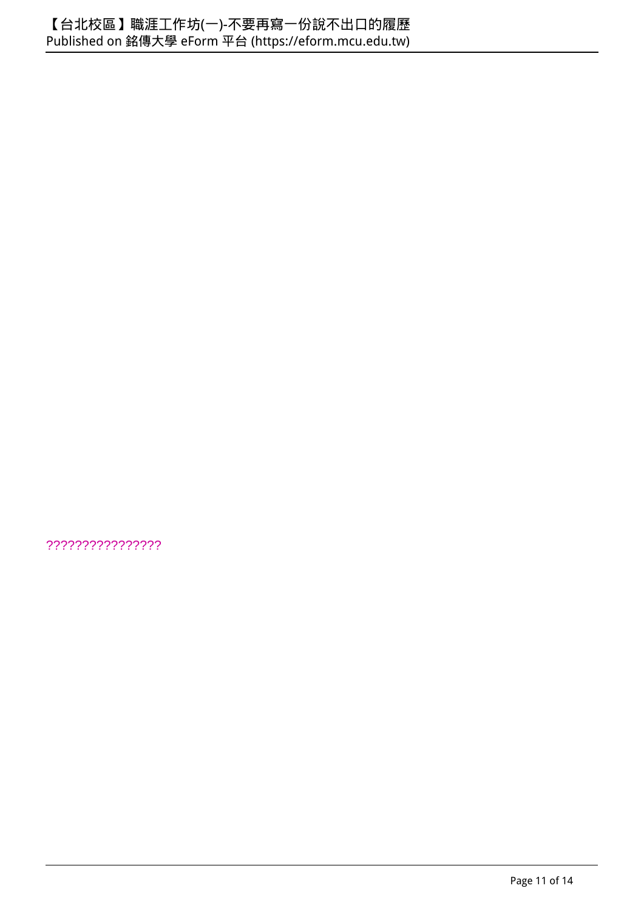????????????????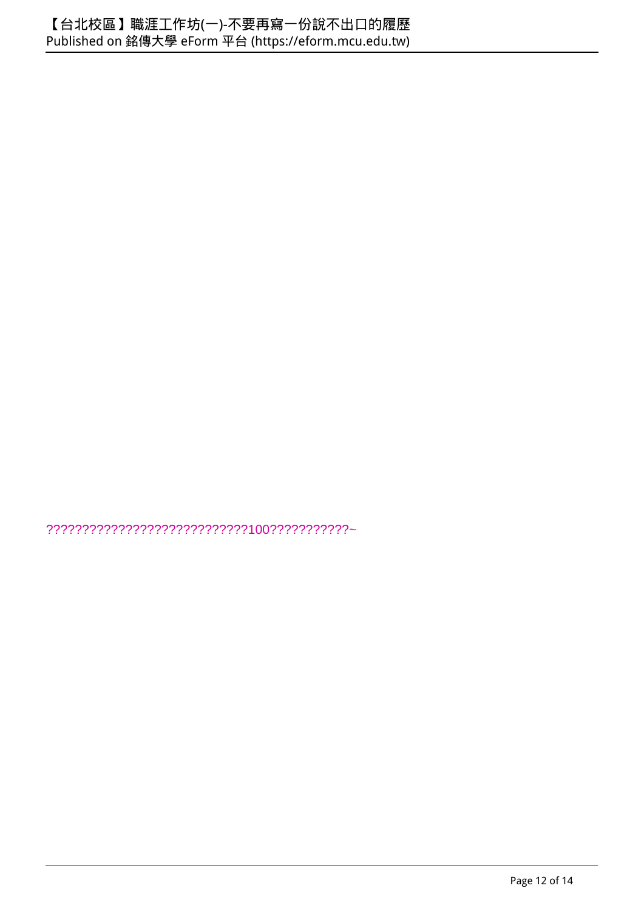????????????????????????????100???????????~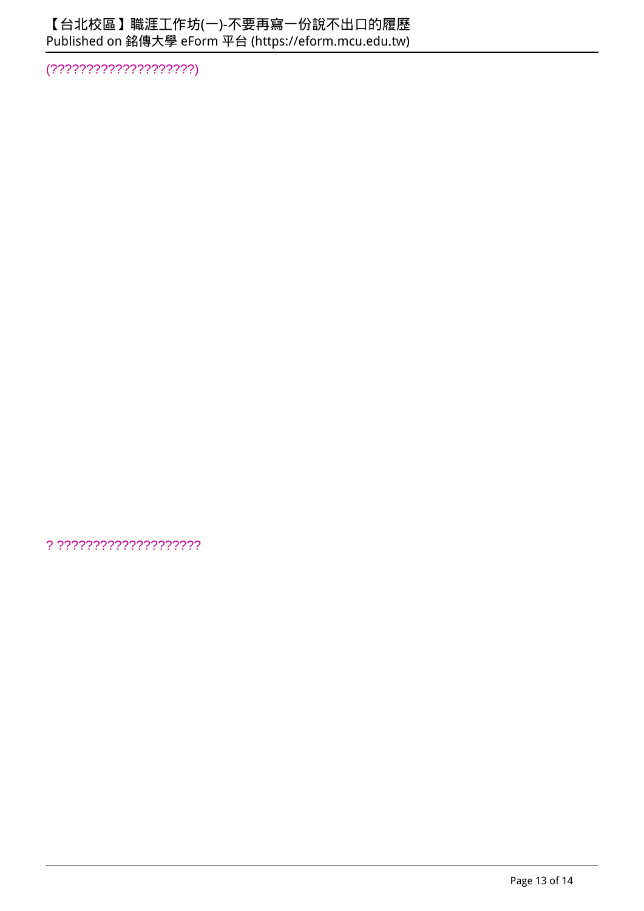(????????????????????)

? ????????????????????